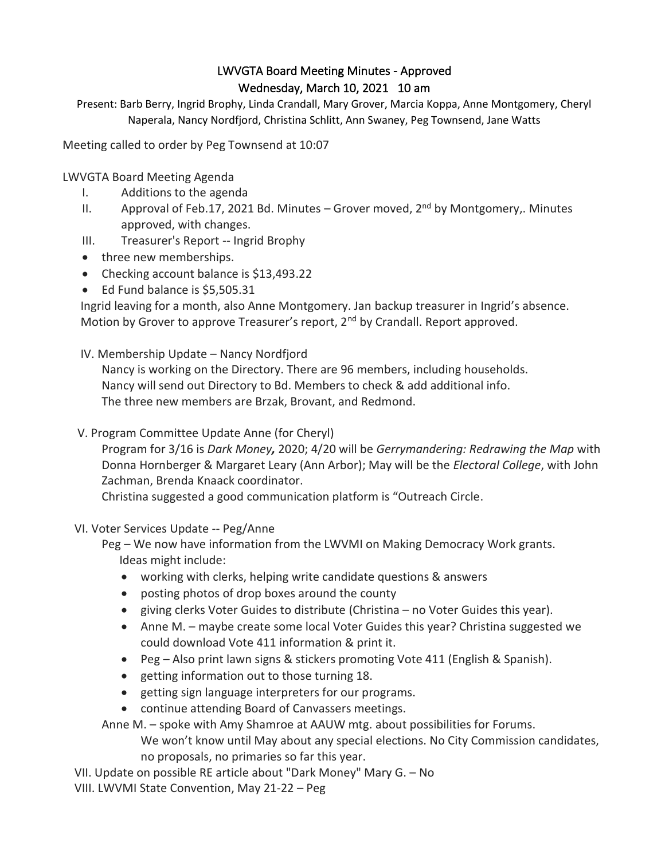# LWVGTA Board Meeting Minutes - Approved Wednesday, March 10, 2021 10 am

Present: Barb Berry, Ingrid Brophy, Linda Crandall, Mary Grover, Marcia Koppa, Anne Montgomery, Cheryl Naperala, Nancy Nordfjord, Christina Schlitt, Ann Swaney, Peg Townsend, Jane Watts

Meeting called to order by Peg Townsend at 10:07

LWVGTA Board Meeting Agenda

- I. Additions to the agenda
- II. Approval of Feb.17, 2021 Bd. Minutes Grover moved,  $2^{nd}$  by Montgomery,. Minutes approved, with changes.
- III. Treasurer's Report -- Ingrid Brophy
- three new memberships.
- Checking account balance is \$13,493.22
- Ed Fund balance is \$5,505.31

Ingrid leaving for a month, also Anne Montgomery. Jan backup treasurer in Ingrid's absence. Motion by Grover to approve Treasurer's report, 2<sup>nd</sup> by Crandall. Report approved.

IV. Membership Update – Nancy Nordfjord

Nancy is working on the Directory. There are 96 members, including households. Nancy will send out Directory to Bd. Members to check & add additional info. The three new members are Brzak, Brovant, and Redmond.

V. Program Committee Update Anne (for Cheryl)

Program for 3/16 is *Dark Money,* 2020; 4/20 will be *Gerrymandering: Redrawing the Map* with Donna Hornberger & Margaret Leary (Ann Arbor); May will be the *Electoral College*, with John Zachman, Brenda Knaack coordinator.

Christina suggested a good communication platform is "Outreach Circle.

VI. Voter Services Update -- Peg/Anne

Peg – We now have information from the LWVMI on Making Democracy Work grants. Ideas might include:

- working with clerks, helping write candidate questions & answers
- posting photos of drop boxes around the county
- giving clerks Voter Guides to distribute (Christina no Voter Guides this year).
- Anne M. maybe create some local Voter Guides this year? Christina suggested we could download Vote 411 information & print it.
- Peg Also print lawn signs & stickers promoting Vote 411 (English & Spanish).
- getting information out to those turning 18.
- getting sign language interpreters for our programs.
- continue attending Board of Canvassers meetings.

Anne M. – spoke with Amy Shamroe at AAUW mtg. about possibilities for Forums.

We won't know until May about any special elections. No City Commission candidates, no proposals, no primaries so far this year.

 VII. Update on possible RE article about "Dark Money" Mary G. – No VIII. LWVMI State Convention, May 21-22 – Peg